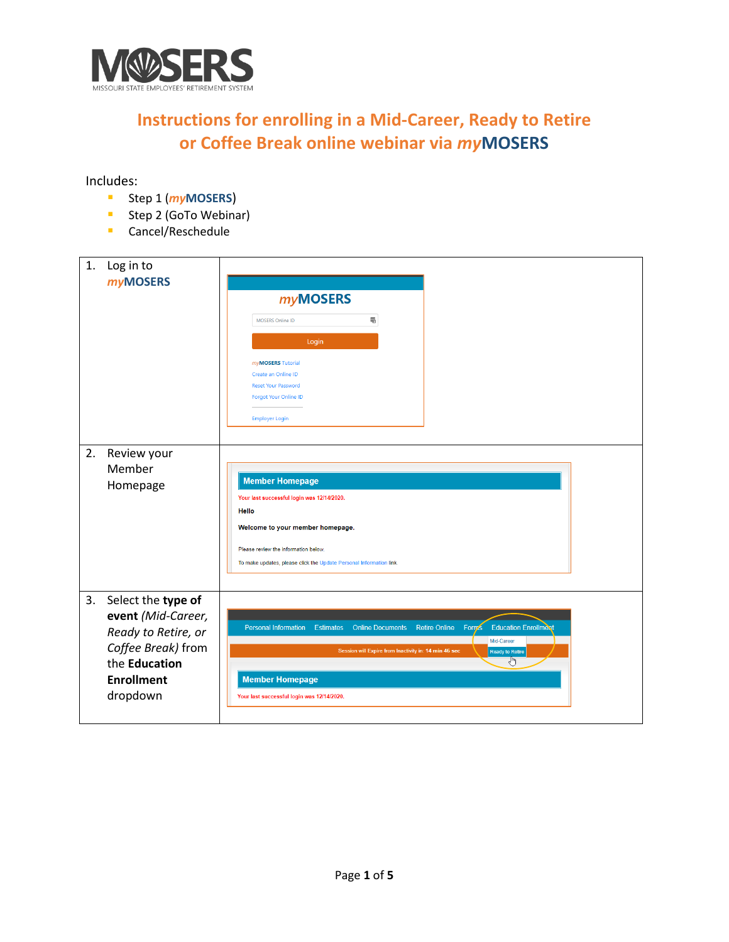

## **Instructions for enrolling in a Mid-Career, Ready to Retire or Coffee Break online webinar via** *my***MOSERS**

Includes:

- Step 1 (*my***MOSERS**)
- **Step 2 (GoTo Webinar)**
- **Cancel/Reschedule**

| 1. | Log in to<br><b>myMOSERS</b>                                                                                                            | <b>myMOSERS</b><br>屬<br>MOSERS Online ID<br>Login<br>myMOSERS Tutorial<br>Create an Online ID<br><b>Reset Your Password</b><br><b>Forgot Your Online ID</b><br>Employer Login                                                                                                                                            |
|----|-----------------------------------------------------------------------------------------------------------------------------------------|--------------------------------------------------------------------------------------------------------------------------------------------------------------------------------------------------------------------------------------------------------------------------------------------------------------------------|
| 2. | Review your<br>Member<br>Homepage                                                                                                       | <b>Member Homepage</b><br>Your last successful login was 12/14/2020.<br>Hello<br>Welcome to your member homepage.<br>Please review the information below.<br>To make updates, please click the Update Personal Information link.                                                                                         |
| 3. | Select the type of<br>event (Mid-Career,<br>Ready to Retire, or<br>Coffee Break) from<br>the Education<br><b>Enrollment</b><br>dropdown | <b>Education Enrollment</b><br><b>Retire Online</b><br><b>Personal Information</b><br><b>Online Documents</b><br>Forms<br><b>Estimates</b><br>Mid-Career<br>Session will Expire from Inactivity in: 14 min 46 sec<br><b>Ready to Retire</b><br>ჟ<br><b>Member Homepage</b><br>Your last successful login was 12/14/2020. |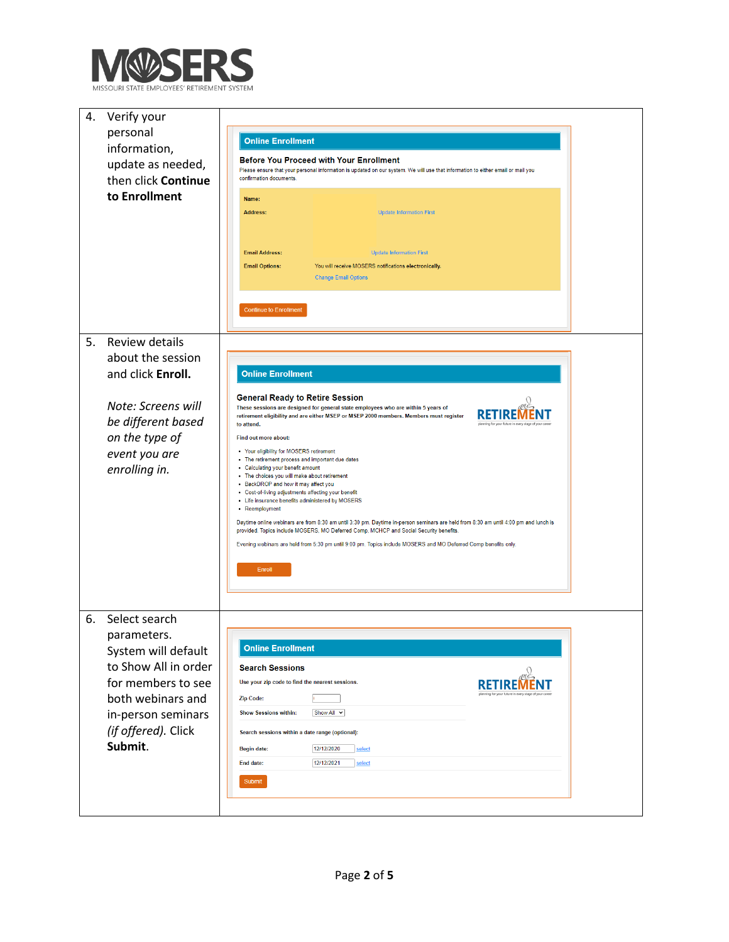

| 4. | Verify your<br>personal<br>information,                                                                                                                                        | <b>Online Enrollment</b>                                                                                                                                                                                                                                                                                                                                                                                                                                                                                                                                                                                                                                                                                                                                                                                                                                                                                                                                                            |  |
|----|--------------------------------------------------------------------------------------------------------------------------------------------------------------------------------|-------------------------------------------------------------------------------------------------------------------------------------------------------------------------------------------------------------------------------------------------------------------------------------------------------------------------------------------------------------------------------------------------------------------------------------------------------------------------------------------------------------------------------------------------------------------------------------------------------------------------------------------------------------------------------------------------------------------------------------------------------------------------------------------------------------------------------------------------------------------------------------------------------------------------------------------------------------------------------------|--|
|    | update as needed,<br>then click Continue                                                                                                                                       | <b>Before You Proceed with Your Enrollment</b><br>Please ensure that your personal information is updated on our system. We will use that information to either email or mail you<br>confirmation documents.                                                                                                                                                                                                                                                                                                                                                                                                                                                                                                                                                                                                                                                                                                                                                                        |  |
|    | to Enrollment                                                                                                                                                                  | Name:<br><b>Address:</b><br><b>Update Information First</b><br><b>Email Address:</b><br><b>Update Information First</b><br><b>Email Options:</b><br>You will receive MOSERS notifications electronically.<br><b>Change Email Options</b><br><b>Continue to Enrollment</b>                                                                                                                                                                                                                                                                                                                                                                                                                                                                                                                                                                                                                                                                                                           |  |
| 5. | Review details<br>about the session<br>and click Enroll.                                                                                                                       | <b>Online Enrollment</b>                                                                                                                                                                                                                                                                                                                                                                                                                                                                                                                                                                                                                                                                                                                                                                                                                                                                                                                                                            |  |
|    | Note: Screens will<br>be different based<br>on the type of<br>event you are<br>enrolling in.                                                                                   | <b>General Ready to Retire Session</b><br>These sessions are designed for general state employees who are within 5 years of<br>retirement eligibility and are either MSEP or MSEP 2000 members. Members must register<br>to attend.<br>Find out more about:<br>• Your eligibility for MOSERS retirement<br>• The retirement process and important due dates<br>• Calculating your benefit amount<br>. The choices you will make about retirement<br>• BackDROP and how it may affect you<br>• Cost-of-living adjustments affecting your benefit<br>• Life insurance benefits administered by MOSERS<br>• Reemployment<br>Daytime online webinars are from 8:30 am until 3:30 pm. Daytime in-person seminars are held from 8:30 am until 4:00 pm and lunch is<br>provided. Topics include MOSERS, MO Deferred Comp, MCHCP and Social Security benefits.<br>Evening webinars are held from 5:30 pm until 9:00 pm. Topics include MOSERS and MO Deferred Comp benefits only.<br>Enroll |  |
| 6. | Select search<br>parameters.<br>System will default<br>to Show All in order<br>for members to see<br>both webinars and<br>in-person seminars<br>(if offered). Click<br>Submit. | <b>Online Enrollment</b><br><b>Search Sessions</b><br>Use your zip code to find the nearest sessions.<br><b>Zip Code:</b><br><b>Show Sessions within:</b><br>Show All $\vee$<br>Search sessions within a date range (optional):<br>12/12/2020<br>select<br><b>Begin date:</b><br>12/12/2021<br>End date:<br>select<br>Submit                                                                                                                                                                                                                                                                                                                                                                                                                                                                                                                                                                                                                                                        |  |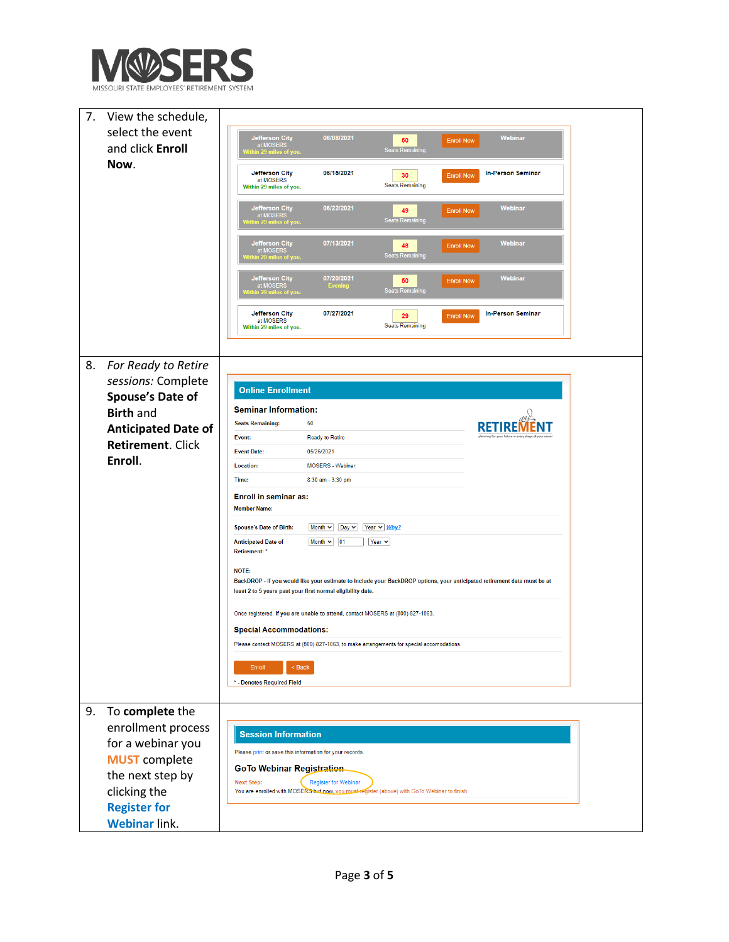

| 7. | View the schedule,         |                                                                                                                                                                                         |  |
|----|----------------------------|-----------------------------------------------------------------------------------------------------------------------------------------------------------------------------------------|--|
|    | select the event           | 06/08/2021<br>Webinar<br><b>Jefferson City</b>                                                                                                                                          |  |
|    | and click Enroll           | 50<br><b>Enroll Now</b><br>at MOSERS<br><b>Seats Remaining</b>                                                                                                                          |  |
|    | Now.                       |                                                                                                                                                                                         |  |
|    |                            | 06/15/2021<br><b>Jefferson City</b><br><b>In-Person Seminar</b><br>30<br><b>Enroll Now</b><br>at MOSERS<br><b>Seats Remaining</b><br>Within 29 miles of you.                            |  |
|    |                            | 06/22/2021<br>Webinar<br><b>Jefferson City</b><br>49<br><b>Enroll Now</b><br>at MOSERS<br><mark>Vithin 29 miles of you</mark><br><b>Seats Remaining</b>                                 |  |
|    |                            | 07/13/2021<br><b>Jefferson City</b><br>Webinar<br><b>Enroll Now</b><br>48<br>at MOSERS<br><b>Seats Remaining</b><br>thin 29 miles of you                                                |  |
|    |                            | 07/20/2021<br>Webinar<br><b>Jefferson City</b><br>50<br><b>Enroll Now</b><br>at MOSERS<br><b>Evening</b><br><b>Seats Remaining</b><br>iin 29 miles of you                               |  |
|    |                            | 07/27/2021<br>Jefferson City<br><b>In-Person Seminar</b><br><b>Enroll Now</b><br>29<br>at MOSERS<br><b>Seats Remaining</b><br>Within 29 miles of you.                                   |  |
|    |                            |                                                                                                                                                                                         |  |
| 8. | For Ready to Retire        |                                                                                                                                                                                         |  |
|    | sessions: Complete         | <b>Online Enrollment</b>                                                                                                                                                                |  |
|    | Spouse's Date of           | <b>Seminar Information:</b>                                                                                                                                                             |  |
|    | <b>Birth and</b>           | <b>Seats Remaining:</b><br>50                                                                                                                                                           |  |
|    | <b>Anticipated Date of</b> | <b>Ready to Retire</b><br>Event:<br>ng for your future in every stage                                                                                                                   |  |
|    | <b>Retirement. Click</b>   | <b>Event Date:</b><br>05/26/2021                                                                                                                                                        |  |
|    | Enroll.                    | <b>Location:</b><br><b>MOSERS</b> - Webinar                                                                                                                                             |  |
|    |                            | Time:<br>8:30 am - 3:30 pm                                                                                                                                                              |  |
|    |                            | <b>Enroll in seminar as:</b>                                                                                                                                                            |  |
|    |                            | <b>Member Name:</b>                                                                                                                                                                     |  |
|    |                            | Month v   Day v   Year v   Why?<br><b>Spouse's Date of Birth:</b>                                                                                                                       |  |
|    |                            | Month $\sim$ 01<br>Year $\overline{\mathbf{v}}$<br><b>Anticipated Date of</b><br><b>Retirement:</b>                                                                                     |  |
|    |                            | NOTE:                                                                                                                                                                                   |  |
|    |                            | BackDROP - If you would like your estimate to include your BackDROP options, your anticipated retirement date must be at<br>least 2 to 5 years past your first normal eligibility date. |  |
|    |                            | Once registered, if you are unable to attend, contact MOSERS at (800) 827-1063.                                                                                                         |  |
|    |                            | <b>Special Accommodations:</b>                                                                                                                                                          |  |
|    |                            | Please contact MOSERS at (800) 827-1063, to make arrangements for special accomodations.                                                                                                |  |
|    |                            | $<$ Back<br>Enroll                                                                                                                                                                      |  |
|    |                            | * - Denotes Required Field                                                                                                                                                              |  |
|    |                            |                                                                                                                                                                                         |  |
| 9. | To complete the            |                                                                                                                                                                                         |  |
|    | enrollment process         | <b>Session Information</b>                                                                                                                                                              |  |
|    | for a webinar you          | Please print or save this information for your records.                                                                                                                                 |  |
|    | <b>MUST</b> complete       | <b>GoTo Webinar Registration</b>                                                                                                                                                        |  |
|    | the next step by           | <b>Register for Webinar</b><br><b>Next Step:</b>                                                                                                                                        |  |
|    | clicking the               | You are enrolled with MOSERS but now, you must register (above) with GoTo Webinar to finish.                                                                                            |  |
|    | <b>Register for</b>        |                                                                                                                                                                                         |  |
|    | <b>Webinar link.</b>       |                                                                                                                                                                                         |  |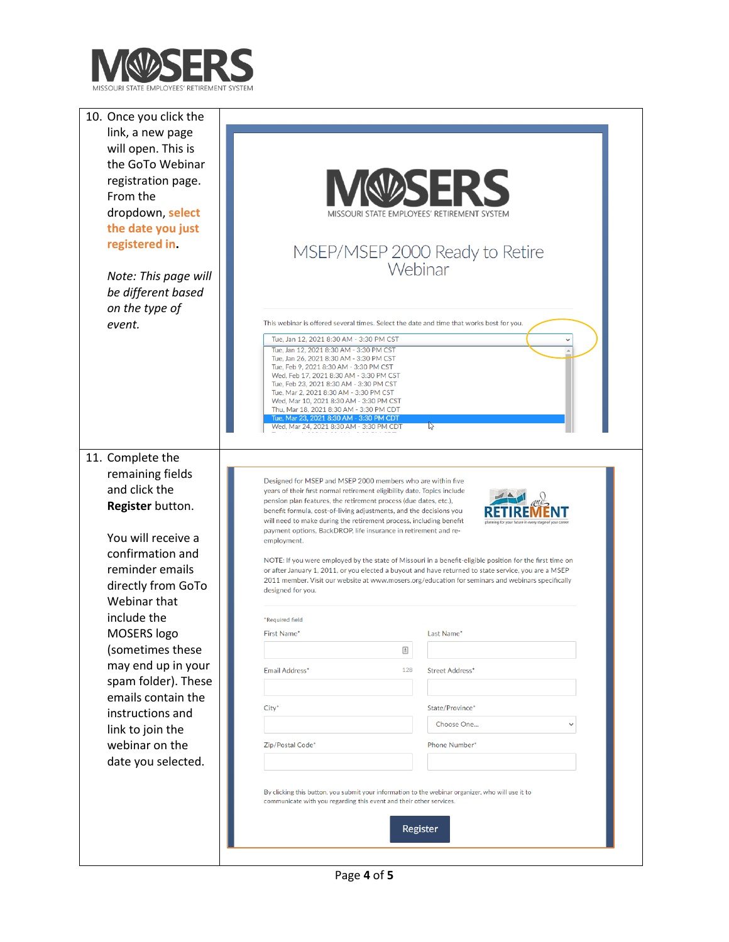

| 10. Once you click the |                                                                                                                                                                                                                  |
|------------------------|------------------------------------------------------------------------------------------------------------------------------------------------------------------------------------------------------------------|
| link, a new page       |                                                                                                                                                                                                                  |
| will open. This is     |                                                                                                                                                                                                                  |
| the GoTo Webinar       |                                                                                                                                                                                                                  |
| registration page.     |                                                                                                                                                                                                                  |
| From the               |                                                                                                                                                                                                                  |
| dropdown, select       | STATE EMPLOYEES' RETIREMENT SYSTEM                                                                                                                                                                               |
| the date you just      |                                                                                                                                                                                                                  |
| registered in.         |                                                                                                                                                                                                                  |
|                        | MSEP/MSEP 2000 Ready to Retire                                                                                                                                                                                   |
|                        | Webinar                                                                                                                                                                                                          |
| Note: This page will   |                                                                                                                                                                                                                  |
| be different based     |                                                                                                                                                                                                                  |
| on the type of         |                                                                                                                                                                                                                  |
| event.                 | This webinar is offered several times. Select the date and time that works best for you.                                                                                                                         |
|                        | Tue, Jan 12, 2021 8:30 AM - 3:30 PM CST<br>Tue, Jan 12, 2021 8:30 AM - 3:30 PM CST                                                                                                                               |
|                        | Tue, Jan 26, 2021 8:30 AM - 3:30 PM CST<br>Tue, Feb 9, 2021 8:30 AM - 3:30 PM CST                                                                                                                                |
|                        | Wed, Feb 17, 2021 8:30 AM - 3:30 PM CST<br>Tue, Feb 23, 2021 8:30 AM - 3:30 PM CST                                                                                                                               |
|                        | Tue, Mar 2, 2021 8:30 AM - 3:30 PM CST                                                                                                                                                                           |
|                        | Wed, Mar 10, 2021 8:30 AM - 3:30 PM CST<br>Thu, Mar 18, 2021 8:30 AM - 3:30 PM CDT                                                                                                                               |
|                        | Tue, Mar 23, 2021 8:30 AM - 3:30 PM CDT<br>$\mathbb{Z}$<br>Wed, Mar 24, 2021 8:30 AM - 3:30 PM CDT                                                                                                               |
|                        |                                                                                                                                                                                                                  |
| 11. Complete the       |                                                                                                                                                                                                                  |
| remaining fields       |                                                                                                                                                                                                                  |
| and click the          | Designed for MSEP and MSEP 2000 members who are within five<br>years of their first normal retirement eligibility date. Topics include                                                                           |
| Register button.       | pension plan features, the retirement process (due dates, etc.),<br>benefit formula, cost-of-living adjustments, and the decisions you                                                                           |
|                        | will need to make during the retirement process, including benefit                                                                                                                                               |
| You will receive a     | payment options, BackDROP, life insurance in retirement and re-<br>employment.                                                                                                                                   |
| confirmation and       |                                                                                                                                                                                                                  |
| reminder emails        | NOTE: If you were employed by the state of Missouri in a benefit-eligible position for the first time on<br>or after January 1, 2011, or you elected a buyout and have returned to state service, you are a MSEP |
| directly from GoTo     | 2011 member. Visit our website at www.mosers.org/education for seminars and webinars specifically                                                                                                                |
| Webinar that           | designed for you.                                                                                                                                                                                                |
| include the            | *Required field                                                                                                                                                                                                  |
| MOSERS logo            | <b>First Name*</b><br>Last Name*                                                                                                                                                                                 |
| (sometimes these       | ▣                                                                                                                                                                                                                |
| may end up in your     |                                                                                                                                                                                                                  |
| spam folder). These    | Email Address*<br>128<br><b>Street Address*</b>                                                                                                                                                                  |
| emails contain the     |                                                                                                                                                                                                                  |
| instructions and       | City <sup>*</sup><br>State/Province*                                                                                                                                                                             |
| link to join the       | Choose One                                                                                                                                                                                                       |
| webinar on the         | Zip/Postal Code*<br><b>Phone Number*</b>                                                                                                                                                                         |
|                        |                                                                                                                                                                                                                  |
| date you selected.     |                                                                                                                                                                                                                  |
|                        | By clicking this button, you submit your information to the webinar organizer, who will use it to                                                                                                                |
|                        | communicate with you regarding this event and their other services.                                                                                                                                              |
|                        |                                                                                                                                                                                                                  |
|                        | Register                                                                                                                                                                                                         |
|                        |                                                                                                                                                                                                                  |